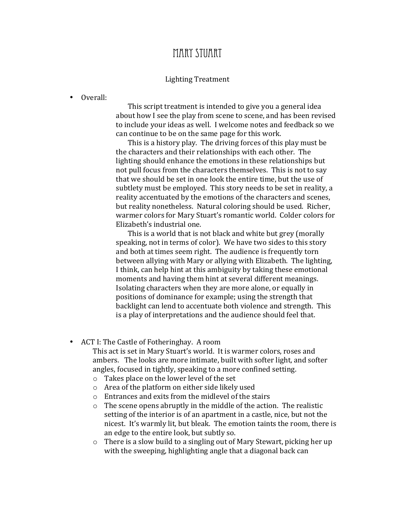## MARY STUART

## Lighting'Treatment

## • Overall:

This script treatment is intended to give you a general idea about how I see the play from scene to scene, and has been revised to include your ideas as well. I welcome notes and feedback so we can continue to be on the same page for this work.

This is a history play. The driving forces of this play must be the characters and their relationships with each other. The lighting should enhance the emotions in these relationships but not pull focus from the characters themselves. This is not to say that we should be set in one look the entire time, but the use of subtlety must be employed. This story needs to be set in reality, a reality accentuated by the emotions of the characters and scenes, but reality nonetheless. Natural coloring should be used. Richer, warmer colors for Mary Stuart's romantic world. Colder colors for Elizabeth's industrial one.

This is a world that is not black and white but grey (morally) speaking, not in terms of color). We have two sides to this story and both at times seem right. The audience is frequently torn between allying with Mary or allying with Elizabeth. The lighting, I think, can help hint at this ambiguity by taking these emotional moments and having them hint at several different meanings. Isolating characters when they are more alone, or equally in positions of dominance for example; using the strength that backlight can lend to accentuate both violence and strength. This is a play of interpretations and the audience should feel that.

• ACT I: The Castle of Fotheringhay. A room

This act is set in Mary Stuart's world. It is warmer colors, roses and ambers. The looks are more intimate, built with softer light, and softer angles, focused in tightly, speaking to a more confined setting.

- $\circ$  Takes place on the lower level of the set
- $\circ$  Area of the platform on either side likely used
- $\circ$  Entrances and exits from the midlevel of the stairs
- $\circ$  The scene opens abruptly in the middle of the action. The realistic setting of the interior is of an apartment in a castle, nice, but not the nicest. It's warmly lit, but bleak. The emotion taints the room, there is an edge to the entire look, but subtly so.
- $\circ$  There is a slow build to a singling out of Mary Stewart, picking her up with the sweeping, highlighting angle that a diagonal back can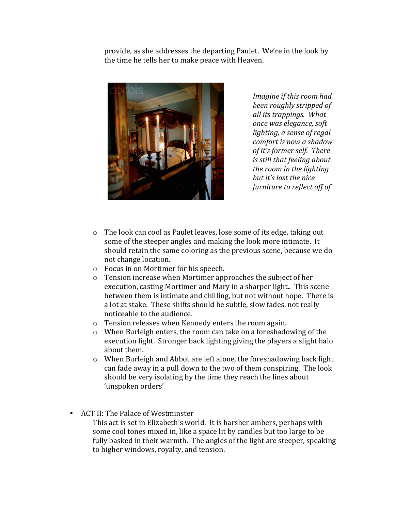provide, as she addresses the departing Paulet. We're in the look by the time he tells her to make peace with Heaven.



*Imagine if this room had been roughly stripped of all its trappings. What once was elegance, soft lighting, a sense of regal comfort is now a shadow of it's former self.* There *is still that feeling about the room in the lighting* but *it's* lost the nice *furniture to reflect off of* 

- $\circ$  The look can cool as Paulet leaves, lose some of its edge, taking out some of the steeper angles and making the look more intimate. It should retain the same coloring as the previous scene, because we do not change location.
- o Focus in on Mortimer for his speech.
- $\circ$  Tension increase when Mortimer approaches the subject of her execution, casting Mortimer and Mary in a sharper light... This scene between them is intimate and chilling, but not without hope. There is a lot at stake. These shifts should be subtle, slow fades, not really noticeable to the audience.
- $\circ$  Tension releases when Kennedy enters the room again.
- $\circ$  When Burleigh enters, the room can take on a foreshadowing of the execution light. Stronger back lighting giving the players a slight halo about them.
- $\circ$  When Burleigh and Abbot are left alone, the foreshadowing back light can fade away in a pull down to the two of them conspiring. The look should be very isolating by the time they reach the lines about 'unspoken orders'
- ACT II: The Palace of Westminster
	- This act is set in Elizabeth's world. It is harsher ambers, perhaps with some cool tones mixed in, like a space lit by candles but too large to be fully basked in their warmth. The angles of the light are steeper, speaking to higher windows, royalty, and tension.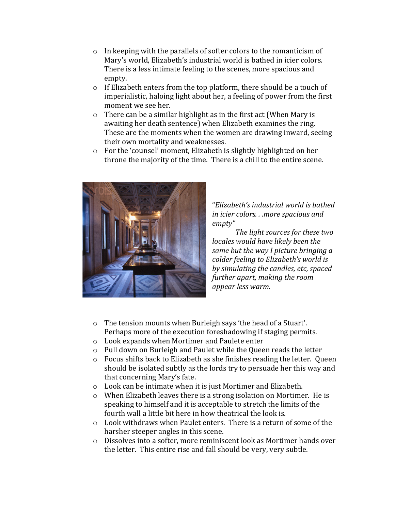- $\circ$  In keeping with the parallels of softer colors to the romanticism of Mary's world, Elizabeth's industrial world is bathed in icier colors. There is a less intimate feeling to the scenes, more spacious and empty.
- $\circ$  If Elizabeth enters from the top platform, there should be a touch of imperialistic, haloing light about her, a feeling of power from the first moment we see her.
- $\circ$  There can be a similar highlight as in the first act (When Mary is awaiting her death sentence) when Elizabeth examines the ring. These are the moments when the women are drawing inward, seeing their own mortality and weaknesses.
- $\circ$  For the 'counsel' moment, Elizabeth is slightly highlighted on her throne the majority of the time. There is a chill to the entire scene.



"*Elizabeth's(industrial(world(is(bathed( in icier colors...more spacious and empty"*

*The light sources for these two locales would have likely been the same but the way I picture bringing a*  $\emph{colder feeling to Elizabeth's world is}$ by simulating the candles, etc, spaced *further apart, making the room* appear less warm.

- $\circ$  The tension mounts when Burleigh says 'the head of a Stuart'. Perhaps more of the execution foreshadowing if staging permits.
- $\circ$  Look expands when Mortimer and Paulete enter
- $\circ$  Pull down on Burleigh and Paulet while the Queen reads the letter
- $\circ$  Focus shifts back to Elizabeth as she finishes reading the letter. Queen should be isolated subtly as the lords try to persuade her this way and that concerning Mary's fate.
- o Look can be intimate when it is just Mortimer and Elizabeth.
- $\circ$  When Elizabeth leaves there is a strong isolation on Mortimer. He is speaking to himself and it is acceptable to stretch the limits of the fourth wall a little bit here in how theatrical the look is.
- $\circ$  Look withdraws when Paulet enters. There is a return of some of the harsher steeper angles in this scene.
- o Dissolves into a softer, more reminiscent look as Mortimer hands over the letter. This entire rise and fall should be very, very subtle.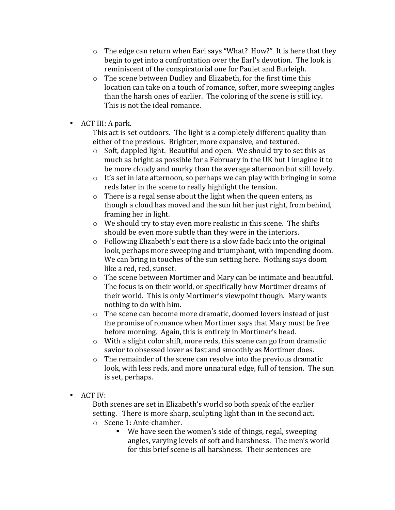- $\circ$  The edge can return when Earl says "What? How?" It is here that they begin to get into a confrontation over the Earl's devotion. The look is reminiscent of the conspiratorial one for Paulet and Burleigh.
- $\circ$  The scene between Dudley and Elizabeth, for the first time this location can take on a touch of romance, softer, more sweeping angles than the harsh ones of earlier. The coloring of the scene is still icy. This is not the ideal romance.
- ACT III: A park.

This act is set outdoors. The light is a completely different quality than either of the previous. Brighter, more expansive, and textured.

- $\circ$  Soft, dappled light. Beautiful and open. We should try to set this as much as bright as possible for a February in the UK but I imagine it to be more cloudy and murky than the average afternoon but still lovely.
- $\circ$  It's set in late afternoon, so perhaps we can play with bringing in some reds later in the scene to really highlight the tension.
- $\circ$  There is a regal sense about the light when the queen enters, as though a cloud has moved and the sun hit her just right, from behind, framing her in light.
- $\circ$  We should try to stay even more realistic in this scene. The shifts should be even more subtle than they were in the interiors.
- $\circ$  Following Elizabeth's exit there is a slow fade back into the original look, perhaps more sweeping and triumphant, with impending doom. We can bring in touches of the sun setting here. Nothing says doom like a red, red, sunset.
- $\circ$  The scene between Mortimer and Mary can be intimate and beautiful. The focus is on their world, or specifically how Mortimer dreams of their world. This is only Mortimer's viewpoint though. Mary wants nothing to do with him.
- $\circ$  The scene can become more dramatic, doomed lovers instead of just the promise of romance when Mortimer says that Mary must be free. before morning. Again, this is entirely in Mortimer's head.
- $\circ$  With a slight color shift, more reds, this scene can go from dramatic savior to obsessed lover as fast and smoothly as Mortimer does.
- $\circ$  The remainder of the scene can resolve into the previous dramatic look, with less reds, and more unnatural edge, full of tension. The sun is set, perhaps.
- ACT IV:

Both scenes are set in Elizabeth's world so both speak of the earlier setting. There is more sharp, sculpting light than in the second act.

- $\circ$  Scene 1: Ante-chamber.
	- We have seen the women's side of things, regal, sweeping angles, varying levels of soft and harshness. The men's world for this brief scene is all harshness. Their sentences are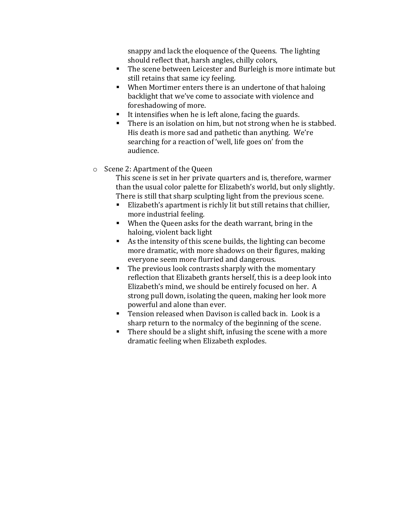snappy and lack the eloquence of the Queens. The lighting should reflect that, harsh angles, chilly colors,

- The scene between Leicester and Burleigh is more intimate but still retains that same icy feeling.
- When Mortimer enters there is an undertone of that haloing backlight that we've come to associate with violence and foreshadowing of more.
- It intensifies when he is left alone, facing the guards.
- $\blacksquare$  There is an isolation on him, but not strong when he is stabbed. His death is more sad and pathetic than anything. We're searching for a reaction of 'well, life goes on' from the audience.

## $\circ$  Scene 2: Apartment of the Queen

This scene is set in her private quarters and is, therefore, warmer than the usual color palette for Elizabeth's world, but only slightly. There is still that sharp sculpting light from the previous scene.

- Elizabeth's apartment is richly lit but still retains that chillier, more industrial feeling.
- When the Queen asks for the death warrant, bring in the haloing, violent back light
- **As the intensity of this scene builds, the lighting can become** more dramatic, with more shadows on their figures, making everyone seem more flurried and dangerous.
- $\blacksquare$  The previous look contrasts sharply with the momentary reflection that Elizabeth grants herself, this is a deep look into Elizabeth's mind, we should be entirely focused on her. A strong pull down, isolating the queen, making her look more powerful and alone than ever.
- Tension released when Davison is called back in. Look is a sharp return to the normalcy of the beginning of the scene.
- $\blacksquare$  There should be a slight shift, infusing the scene with a more dramatic feeling when Elizabeth explodes.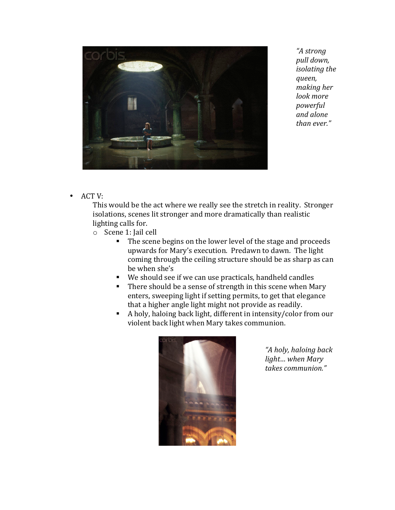

*"A(strong(* pull down, *isolating the queen,( making her* look more *powerful(* and alone *than ever."* 

 $•$  ACT V:

This would be the act where we really see the stretch in reality. Stronger isolations, scenes lit stronger and more dramatically than realistic lighting calls for.

- o Scene 1: Jail cell
	- The scene begins on the lower level of the stage and proceeds upwards for Mary's execution. Predawn to dawn. The light coming through the ceiling structure should be as sharp as can be when she's
	- We should see if we can use practicals, handheld candles
	- There should be a sense of strength in this scene when Mary enters, sweeping light if setting permits, to get that elegance that a higher angle light might not provide as readily.
	- Aholy, haloing back light, different in intensity/color from our violent back light when Mary takes communion.



"A holy, haloing back *light...* when Mary *takes(communion."*